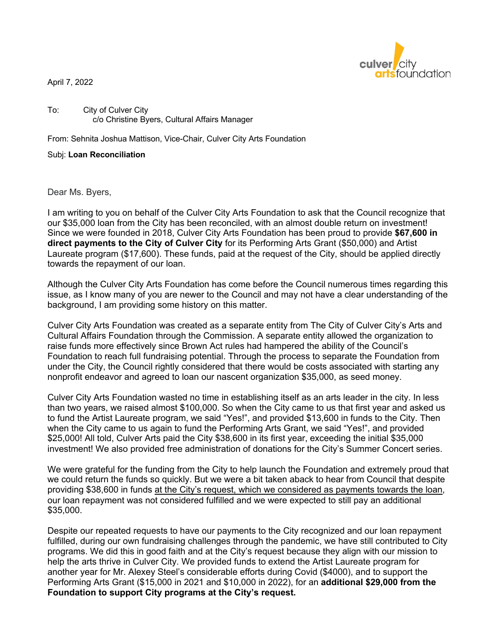

April 7, 2022

To: City of Culver City c/o Christine Byers, Cultural Affairs Manager

From: Sehnita Joshua Mattison, Vice-Chair, Culver City Arts Foundation

Subj: **Loan Reconciliation** 

Dear Ms. Byers,

I am writing to you on behalf of the Culver City Arts Foundation to ask that the Council recognize that our \$35,000 loan from the City has been reconciled, with an almost double return on investment! Since we were founded in 2018, Culver City Arts Foundation has been proud to provide **\$67,600 in direct payments to the City of Culver City** for its Performing Arts Grant (\$50,000) and Artist Laureate program (\$17,600). These funds, paid at the request of the City, should be applied directly towards the repayment of our loan.

Although the Culver City Arts Foundation has come before the Council numerous times regarding this issue, as I know many of you are newer to the Council and may not have a clear understanding of the background, I am providing some history on this matter.

Culver City Arts Foundation was created as a separate entity from The City of Culver City's Arts and Cultural Affairs Foundation through the Commission. A separate entity allowed the organization to raise funds more effectively since Brown Act rules had hampered the ability of the Council's Foundation to reach full fundraising potential. Through the process to separate the Foundation from under the City, the Council rightly considered that there would be costs associated with starting any nonprofit endeavor and agreed to loan our nascent organization \$35,000, as seed money.

Culver City Arts Foundation wasted no time in establishing itself as an arts leader in the city. In less than two years, we raised almost \$100,000. So when the City came to us that first year and asked us to fund the Artist Laureate program, we said "Yes!", and provided \$13,600 in funds to the City. Then when the City came to us again to fund the Performing Arts Grant, we said "Yes!", and provided \$25,000! All told, Culver Arts paid the City \$38,600 in its first year, exceeding the initial \$35,000 investment! We also provided free administration of donations for the City's Summer Concert series.

We were grateful for the funding from the City to help launch the Foundation and extremely proud that we could return the funds so quickly. But we were a bit taken aback to hear from Council that despite providing \$38,600 in funds at the City's request, which we considered as payments towards the loan, our loan repayment was not considered fulfilled and we were expected to still pay an additional \$35,000.

Despite our repeated requests to have our payments to the City recognized and our loan repayment fulfilled, during our own fundraising challenges through the pandemic, we have still contributed to City programs. We did this in good faith and at the City's request because they align with our mission to help the arts thrive in Culver City. We provided funds to extend the Artist Laureate program for another year for Mr. Alexey Steel's considerable efforts during Covid (\$4000), and to support the Performing Arts Grant (\$15,000 in 2021 and \$10,000 in 2022), for an **additional \$29,000 from the Foundation to support City programs at the City's request.**